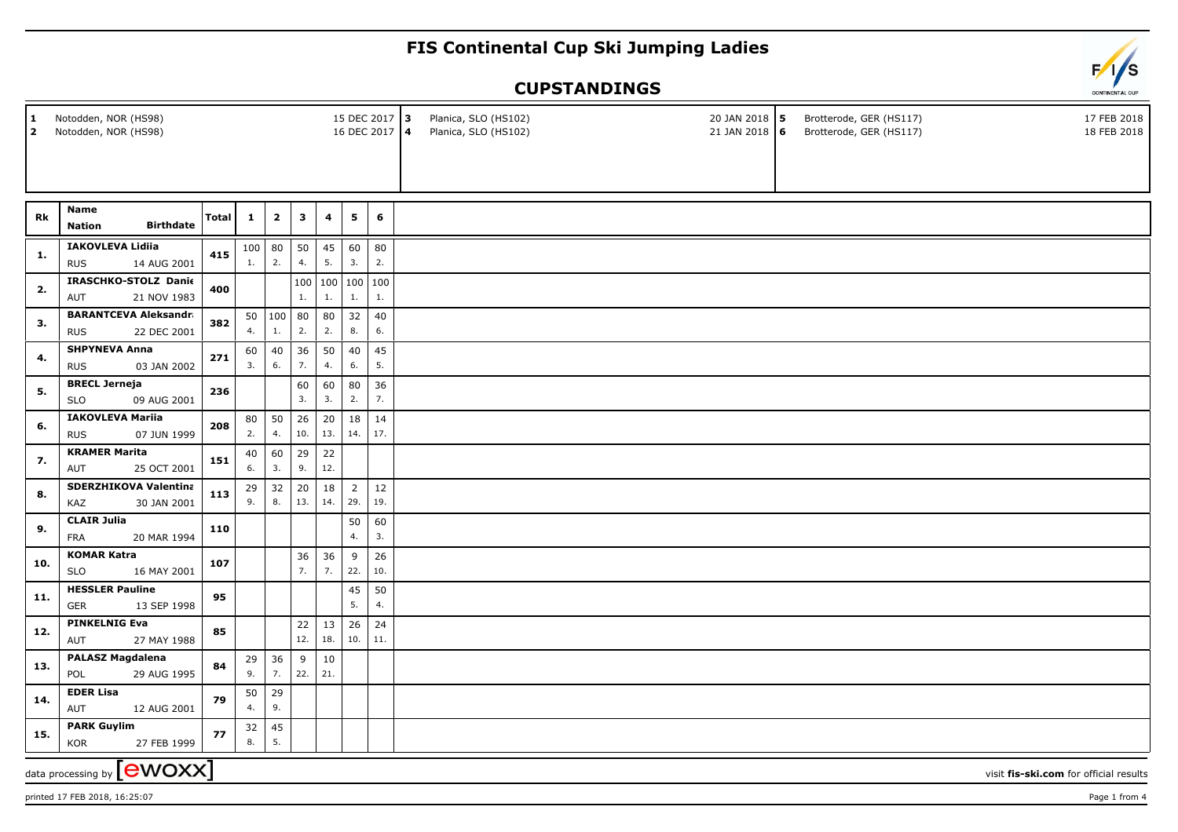## **FIS Continental Cup Ski Jumping Ladies**

## **CUPSTANDINGS**

| $\mathbf{1}$<br>$\overline{2}$                                             | Notodden, NOR (HS98)<br>Notodden, NOR (HS98)              |       |              |                |              |               | 15 DEC 2017 3<br>16 DEC 2017 4 |           |  | Planica, SLO (HS102)<br>Planica, SLO (HS102) | 20 JAN 2018 5<br>21 JAN 2018 6 | Brotterode, GER (HS117)<br>Brotterode, GER (HS117) | 17 FEB 2018<br>18 FEB 2018 |
|----------------------------------------------------------------------------|-----------------------------------------------------------|-------|--------------|----------------|--------------|---------------|--------------------------------|-----------|--|----------------------------------------------|--------------------------------|----------------------------------------------------|----------------------------|
|                                                                            |                                                           |       |              |                |              |               |                                |           |  |                                              |                                |                                                    |                            |
| Rk                                                                         | Name<br><b>Birthdate</b><br><b>Nation</b>                 | Total | $\mathbf{1}$ | $\overline{2}$ | $\mathbf{3}$ | 4             | 5                              | 6         |  |                                              |                                |                                                    |                            |
| 1.                                                                         | <b>IAKOVLEVA Lidiia</b><br>14 AUG 2001<br><b>RUS</b>      | 415   | 1.           | $100$ 80<br>2. | 50<br>4.     | 45<br>5.      | 60<br>3.                       | 80<br>2.  |  |                                              |                                |                                                    |                            |
| 2.                                                                         | IRASCHKO-STOLZ Danie<br>21 NOV 1983<br>AUT                | 400   |              |                | 100<br>1.    | 1.            | 100 100 100<br>1.              | 1.        |  |                                              |                                |                                                    |                            |
| 3.                                                                         | <b>BARANTCEVA Aleksandra</b><br>22 DEC 2001<br><b>RUS</b> | 382   | 4.           | 50   100<br>1. | 80<br>2.     | 80<br>2.      | 32<br>8.                       | 40<br>6.  |  |                                              |                                |                                                    |                            |
| 4.                                                                         | <b>SHPYNEVA Anna</b><br>03 JAN 2002<br><b>RUS</b>         | 271   | 60<br>3.     | 40<br>6.       | 36<br>7.     | 50<br>4.      | 40<br>6.                       | 45<br>5.  |  |                                              |                                |                                                    |                            |
| 5.                                                                         | <b>BRECL Jerneja</b><br><b>SLO</b><br>09 AUG 2001         | 236   |              |                | 60<br>3.     | 60<br>3.      | 80<br>2.                       | 36<br>7.  |  |                                              |                                |                                                    |                            |
| 6.                                                                         | <b>IAKOVLEVA Mariia</b><br><b>RUS</b><br>07 JUN 1999      | 208   | 80<br>2.     | 50<br>4.       | 26<br>10.    | 20<br>13.     | 18<br>14.                      | 14<br>17. |  |                                              |                                |                                                    |                            |
| 7.                                                                         | <b>KRAMER Marita</b><br>25 OCT 2001<br>AUT                | 151   | 40<br>6.     | 60<br>3.       | 29<br>9.     | 22<br>12.     |                                |           |  |                                              |                                |                                                    |                            |
| 8.                                                                         | <b>SDERZHIKOVA Valentina</b><br>KAZ<br>30 JAN 2001        | 113   | 29<br>9.     | 32<br>8.       | 20<br>13.    | 18<br>14.     | $\overline{2}$<br>29.          | 12<br>19. |  |                                              |                                |                                                    |                            |
| 9.                                                                         | <b>CLAIR Julia</b><br><b>FRA</b><br>20 MAR 1994           | 110   |              |                |              |               | 50<br>4.                       | 60<br>3.  |  |                                              |                                |                                                    |                            |
| 10.                                                                        | <b>KOMAR Katra</b><br><b>SLO</b><br>16 MAY 2001           | 107   |              |                | 36<br>7.     | 36<br>7.      | 9<br>22.                       | 26<br>10. |  |                                              |                                |                                                    |                            |
| 11.                                                                        | <b>HESSLER Pauline</b><br><b>GER</b><br>13 SEP 1998       | 95    |              |                |              |               | 45<br>5.                       | 50<br>4.  |  |                                              |                                |                                                    |                            |
| 12.                                                                        | <b>PINKELNIG Eva</b><br>AUT<br>27 MAY 1988                | 85    |              |                | 22<br>12.    | 13<br>18.     | 26<br>10.                      | 24<br>11. |  |                                              |                                |                                                    |                            |
| 13.                                                                        | <b>PALASZ Magdalena</b><br>29 AUG 1995<br>POL             | 84    | 29<br>9.     | 36<br>7.       | 9<br>22.     | $10\,$<br>21. |                                |           |  |                                              |                                |                                                    |                            |
| 14.                                                                        | <b>EDER Lisa</b><br>AUT<br>12 AUG 2001                    | 79    | 50<br>4.     | 29<br>9.       |              |               |                                |           |  |                                              |                                |                                                    |                            |
| 15.                                                                        | <b>PARK Guylim</b><br><b>KOR</b><br>27 FEB 1999           | 77    | 32<br>8.     | 45<br>5.       |              |               |                                |           |  |                                              |                                |                                                    |                            |
| data processing by $\fbox{ewOX}$<br>visit fis-ski.com for official results |                                                           |       |              |                |              |               |                                |           |  |                                              |                                |                                                    |                            |

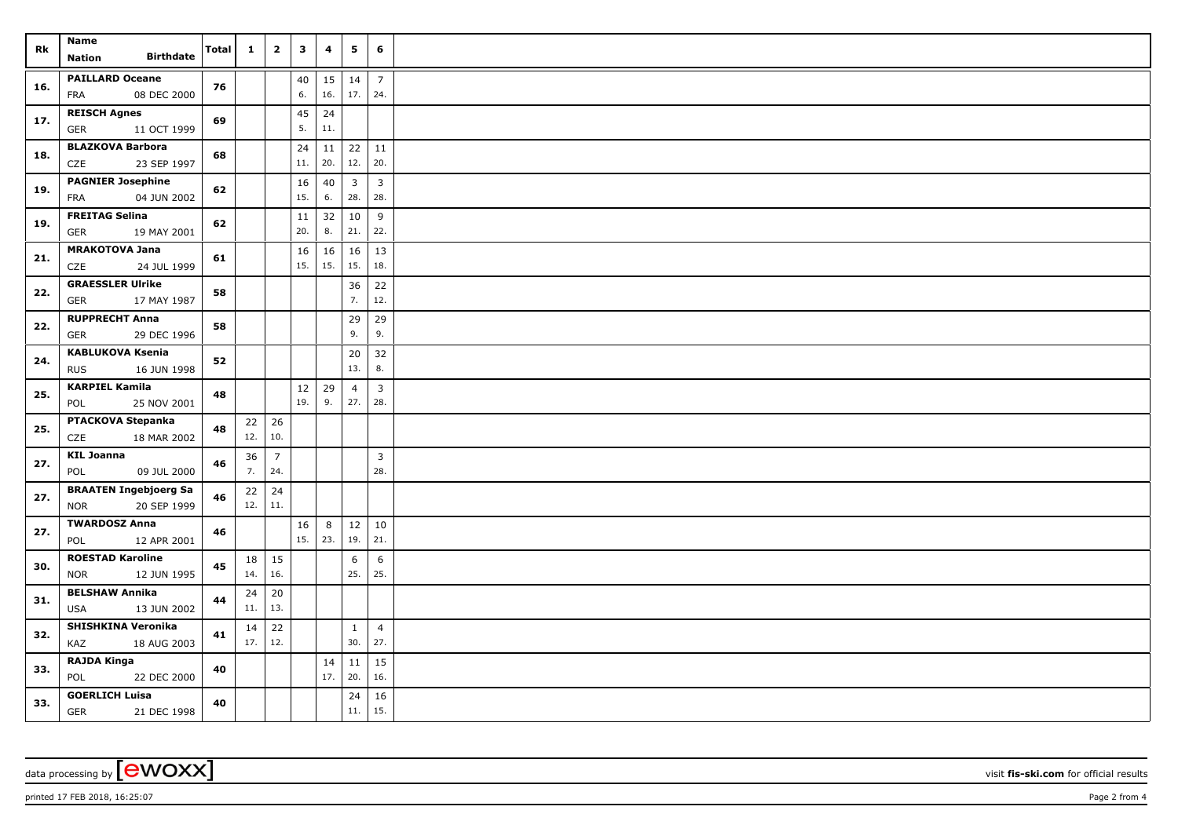| Rk  | Name<br><b>Birthdate</b><br><b>Nation</b>                 | <b>Total</b> | $\mathbf{1}$ | $\mathbf{2}$          | $\mathbf{3}$ | 4         | 5                              | 6                              |  |
|-----|-----------------------------------------------------------|--------------|--------------|-----------------------|--------------|-----------|--------------------------------|--------------------------------|--|
| 16. | <b>PAILLARD Oceane</b><br>08 DEC 2000<br>FRA              | 76           |              |                       | 40<br>6.     | 15<br>16. | 14<br>17.                      | $\overline{7}$<br>24.          |  |
| 17. | <b>REISCH Agnes</b><br>11 OCT 1999<br>GER                 | 69           |              |                       | 45<br>5.     | 24<br>11. |                                |                                |  |
| 18. | <b>BLAZKOVA Barbora</b><br>23 SEP 1997<br>CZE             | 68           |              |                       | 24<br>11.    | 11<br>20. | 22<br>12.                      | 11<br>20.                      |  |
| 19. | <b>PAGNIER Josephine</b><br><b>FRA</b><br>04 JUN 2002     | 62           |              |                       | 16<br>15.    | 40<br>6.  | $\overline{\mathbf{3}}$<br>28. | $\overline{\mathbf{3}}$<br>28. |  |
| 19. | <b>FREITAG Selina</b><br><b>GER</b><br>19 MAY 2001        | 62           |              |                       | 11<br>20.    | 32<br>8.  | 10<br>21.                      | 9<br>22.                       |  |
| 21. | <b>MRAKOTOVA Jana</b><br>CZE<br>24 JUL 1999               | 61           |              |                       | 16<br>15.    | 16<br>15. | 16<br>15.                      | 13<br>18.                      |  |
| 22. | <b>GRAESSLER Ulrike</b><br>17 MAY 1987<br>GER             | 58           |              |                       |              |           | 36<br>7.                       | 22<br>12.                      |  |
| 22. | <b>RUPPRECHT Anna</b><br><b>GER</b><br>29 DEC 1996        | 58           |              |                       |              |           | 29<br>9.                       | 29<br>9.                       |  |
| 24. | <b>KABLUKOVA Ksenia</b><br><b>RUS</b><br>16 JUN 1998      | 52           |              |                       |              |           | 20<br>13.                      | 32<br>8.                       |  |
| 25. | <b>KARPIEL Kamila</b><br>POL<br>25 NOV 2001               | 48           |              |                       | $12$<br>19.  | 29<br>9.  | $\overline{4}$<br>27.          | $\overline{3}$<br>28.          |  |
| 25. | PTACKOVA Stepanka<br>CZE<br>18 MAR 2002                   | 48           | 22 <br>12.   | 26<br>10.             |              |           |                                |                                |  |
| 27. | <b>KIL Joanna</b><br>09 JUL 2000<br>POL                   | 46           | 36<br>7.     | $\overline{7}$<br>24. |              |           |                                | $\overline{3}$<br>28.          |  |
| 27. | <b>BRAATEN Ingebjoerg Sa</b><br>20 SEP 1999<br><b>NOR</b> | 46           | 22<br>12.    | 24<br>11.             |              |           |                                |                                |  |
| 27. | <b>TWARDOSZ Anna</b><br>POL<br>12 APR 2001                | 46           |              |                       | 16<br>15.    | 8<br> 23. | 12<br>19.                      | 10<br>21.                      |  |
| 30. | <b>ROESTAD Karoline</b><br>12 JUN 1995<br><b>NOR</b>      | 45           | 18<br>14.    | 15<br>16.             |              |           | 6<br>25.                       | 6<br>25.                       |  |
| 31. | <b>BELSHAW Annika</b><br>13 JUN 2002<br><b>USA</b>        | 44           | 24<br>11.    | 20<br>13.             |              |           |                                |                                |  |
| 32. | <b>SHISHKINA Veronika</b><br>KAZ<br>18 AUG 2003           | 41           | 14<br>17.    | 22<br>12.             |              |           | $\mathbf{1}$<br>30.            | $\overline{4}$<br>27.          |  |
| 33. | <b>RAJDA Kinga</b><br>POL<br>22 DEC 2000                  | 40           |              |                       |              | 14<br>17. | 11<br>20.                      | 15<br>16.                      |  |
| 33. | <b>GOERLICH Luisa</b><br>GER<br>21 DEC 1998               | 40           |              |                       |              |           | 24<br>11.                      | 16<br>15.                      |  |

data processing by **CWOXX** visit **fis-ski.com** for official results

printed 17 FEB 2018, 16:25:07 **Page 2** from 4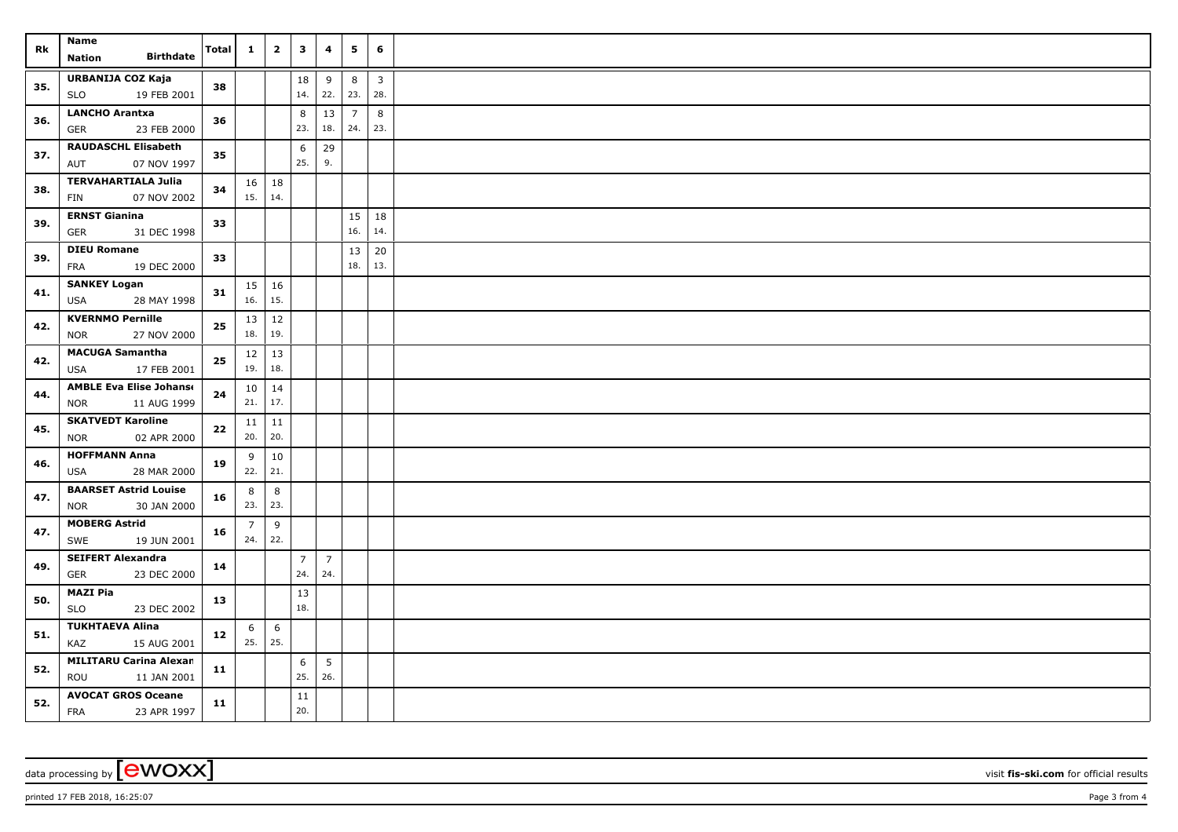|     | Name                                                | <b>Total</b> |                        |              | $\overline{\mathbf{3}}$ |                | 5              | 6                       |  |
|-----|-----------------------------------------------------|--------------|------------------------|--------------|-------------------------|----------------|----------------|-------------------------|--|
| Rk  | <b>Birthdate</b><br>Nation                          |              | $\mathbf{1}$           | $\mathbf{2}$ |                         | 4              |                |                         |  |
| 35. | URBANIJA COZ Kaja                                   |              |                        |              | 18                      | 9              | 8              | $\overline{\mathbf{3}}$ |  |
|     | 19 FEB 2001<br>SLO                                  | 38           |                        |              | 14.                     | 22.            | 23.            | 28.                     |  |
| 36. | <b>LANCHO Arantxa</b>                               | 36           |                        |              | 8                       | 13             | $\overline{7}$ | 8                       |  |
|     | <b>GER</b><br>23 FEB 2000                           |              |                        |              | 23.                     | 18.            | 24.            | 23.                     |  |
| 37. | <b>RAUDASCHL Elisabeth</b>                          | 35           |                        |              | 6                       | 29             |                |                         |  |
|     | 07 NOV 1997<br>AUT                                  |              |                        |              | 25.                     | 9.             |                |                         |  |
| 38. | <b>TERVAHARTIALA Julia</b>                          | 34           | 16                     | 18           |                         |                |                |                         |  |
|     | 07 NOV 2002<br>FIN                                  |              | 15.   14.              |              |                         |                |                |                         |  |
| 39. | <b>ERNST Gianina</b>                                | 33           |                        |              |                         |                | 15             | 18                      |  |
|     | <b>GER</b><br>31 DEC 1998                           |              |                        |              |                         |                | 16.            | 14.                     |  |
| 39. | <b>DIEU Romane</b>                                  | 33           |                        |              |                         |                | 13             | 20                      |  |
|     | FRA<br>19 DEC 2000                                  |              |                        |              |                         |                | 18.            | 13.                     |  |
| 41. | <b>SANKEY Logan</b>                                 | 31           | $15 \mid 16$           |              |                         |                |                |                         |  |
|     | <b>USA</b><br>28 MAY 1998                           |              | 16.                    | 15.          |                         |                |                |                         |  |
| 42. | <b>KVERNMO Pernille</b>                             | 25           | 13<br>18.              | 12<br>19.    |                         |                |                |                         |  |
|     | 27 NOV 2000<br>NOR                                  |              |                        |              |                         |                |                |                         |  |
| 42. | <b>MACUGA Samantha</b><br>17 FEB 2001<br><b>USA</b> | 25           | 12<br>19.              | 13<br>18.    |                         |                |                |                         |  |
|     | <b>AMBLE Eva Elise Johanse</b>                      |              |                        |              |                         |                |                |                         |  |
| 44. | 11 AUG 1999<br><b>NOR</b>                           | 24           | 10 <sup>1</sup><br>21. | 14<br>17.    |                         |                |                |                         |  |
|     | <b>SKATVEDT Karoline</b>                            | 22           | 11                     | 11           |                         |                |                |                         |  |
| 45. | <b>NOR</b><br>02 APR 2000                           |              | 20.                    | 20.          |                         |                |                |                         |  |
|     | <b>HOFFMANN Anna</b>                                | 19           | 9                      | 10           |                         |                |                |                         |  |
| 46. | 28 MAR 2000<br>USA                                  |              | 22.                    | 21.          |                         |                |                |                         |  |
|     | <b>BAARSET Astrid Louise</b>                        |              | 8                      | 8            |                         |                |                |                         |  |
| 47. | 30 JAN 2000<br><b>NOR</b>                           | 16           | 23.                    | 23.          |                         |                |                |                         |  |
| 47. | <b>MOBERG Astrid</b>                                |              | $\overline{7}$         | 9            |                         |                |                |                         |  |
|     | SWE<br>19 JUN 2001                                  | 16           | 24.                    | 22.          |                         |                |                |                         |  |
| 49. | <b>SEIFERT Alexandra</b>                            | 14           |                        |              | $\overline{7}$          | $\overline{7}$ |                |                         |  |
|     | GER<br>23 DEC 2000                                  |              |                        |              | 24.                     | 24.            |                |                         |  |
| 50. | MAZI Pia                                            | 13           |                        |              | 13                      |                |                |                         |  |
|     | <b>SLO</b><br>23 DEC 2002                           |              |                        |              | 18.                     |                |                |                         |  |
| 51. | <b>TUKHTAEVA Alina</b>                              | 12           | 6                      | 6            |                         |                |                |                         |  |
|     | KAZ<br>15 AUG 2001                                  |              |                        | 25.          | 25.                     |                |                |                         |  |
| 52. | <b>MILITARU Carina Alexan</b>                       | 11           |                        |              | 6                       | 5              |                |                         |  |
|     | ROU<br>11 JAN 2001                                  |              |                        |              | 25.                     | 26.            |                |                         |  |
| 52. | <b>AVOCAT GROS Oceane</b>                           | 11           |                        |              | 11                      |                |                |                         |  |
|     | <b>FRA</b><br>23 APR 1997                           |              |                        |              | 20.                     |                |                |                         |  |

data processing by **CWOXX** visit fis-ski.com for official results

printed 17 FEB 2018, 16:25:07 **Page 3** from 4